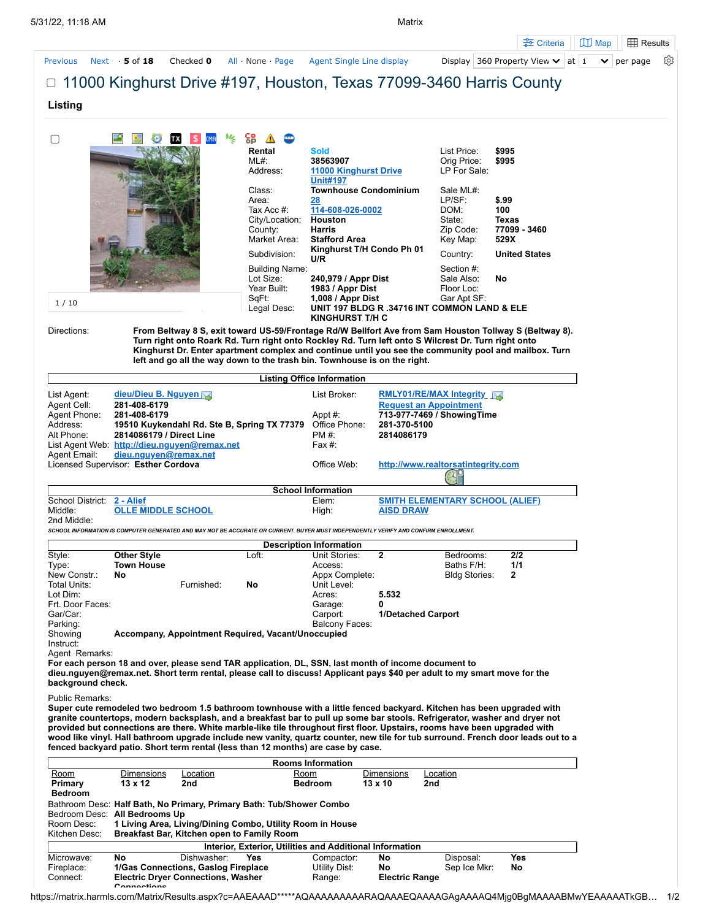|                                                                                      |                                         |                                                                                                                                      |                           |                                                          |                    |                                                                 | ÷ Criteria                                                                                                                       | <b>ED</b> Results<br>$\Box$ Map  |
|--------------------------------------------------------------------------------------|-----------------------------------------|--------------------------------------------------------------------------------------------------------------------------------------|---------------------------|----------------------------------------------------------|--------------------|-----------------------------------------------------------------|----------------------------------------------------------------------------------------------------------------------------------|----------------------------------|
| <b>Previous</b>                                                                      | Next $\cdot$ 5 of 18                    | Checked 0                                                                                                                            | All None Page             | Agent Single Line display                                |                    |                                                                 | Display 360 Property View $\vee$                                                                                                 | at 1<br>per page<br>$\checkmark$ |
|                                                                                      |                                         |                                                                                                                                      |                           |                                                          |                    |                                                                 | $\Box$ 11000 Kinghurst Drive #197, Houston, Texas 77099-3460 Harris County                                                       |                                  |
|                                                                                      |                                         |                                                                                                                                      |                           |                                                          |                    |                                                                 |                                                                                                                                  |                                  |
| Listing                                                                              |                                         |                                                                                                                                      |                           |                                                          |                    |                                                                 |                                                                                                                                  |                                  |
|                                                                                      |                                         |                                                                                                                                      |                           |                                                          |                    |                                                                 |                                                                                                                                  |                                  |
| u                                                                                    |                                         | 屹<br>IMA                                                                                                                             | 엶                         |                                                          |                    |                                                                 |                                                                                                                                  |                                  |
|                                                                                      |                                         |                                                                                                                                      | Rental<br>$ML#$ :         | <b>Sold</b><br>38563907                                  |                    | List Price:<br>Orig Price:                                      | \$995<br>\$995                                                                                                                   |                                  |
|                                                                                      |                                         |                                                                                                                                      | Address:                  | <b>11000 Kinghurst Drive</b>                             |                    | LP For Sale:                                                    |                                                                                                                                  |                                  |
|                                                                                      |                                         |                                                                                                                                      | Class:                    | <b>Unit#197</b><br><b>Townhouse Condominium</b>          |                    | Sale ML#:                                                       |                                                                                                                                  |                                  |
|                                                                                      |                                         |                                                                                                                                      | Area:                     | 28                                                       |                    | LP/SF:                                                          | \$.99                                                                                                                            |                                  |
|                                                                                      |                                         |                                                                                                                                      | Tax Acc #:                | 114-608-026-0002                                         |                    | DOM:                                                            | 100                                                                                                                              |                                  |
|                                                                                      |                                         |                                                                                                                                      | City/Location:<br>County: | Houston<br>Harris                                        |                    | State:<br>Zip Code:                                             | Texas<br>77099 - 3460                                                                                                            |                                  |
|                                                                                      |                                         |                                                                                                                                      | Market Area:              | <b>Stafford Area</b>                                     |                    | Key Map:                                                        | 529X                                                                                                                             |                                  |
|                                                                                      |                                         |                                                                                                                                      | Subdivision:              | Kinghurst T/H Condo Ph 01<br>U/R                         |                    | Country:                                                        | <b>United States</b>                                                                                                             |                                  |
|                                                                                      |                                         |                                                                                                                                      | <b>Building Name:</b>     |                                                          |                    | Section #:                                                      |                                                                                                                                  |                                  |
|                                                                                      |                                         |                                                                                                                                      | Lot Size:<br>Year Built:  | 240,979 / Appr Dist<br>1983 / Appr Dist                  |                    | Sale Also:<br>Floor Loc:                                        | No                                                                                                                               |                                  |
|                                                                                      |                                         |                                                                                                                                      | SqFt:                     | 1,008 / Appr Dist                                        |                    | Gar Apt SF:                                                     |                                                                                                                                  |                                  |
| 1/10                                                                                 |                                         |                                                                                                                                      | Legal Desc:               | UNIT 197 BLDG R .34716 INT COMMON LAND & ELE             |                    |                                                                 |                                                                                                                                  |                                  |
| Directions:                                                                          |                                         |                                                                                                                                      |                           | <b>KINGHURST T/H C</b>                                   |                    |                                                                 | From Beltway 8 S, exit toward US-59/Frontage Rd/W Bellfort Ave from Sam Houston Tollway S (Beltway 8).                           |                                  |
|                                                                                      |                                         | Turn right onto Roark Rd. Turn right onto Rockley Rd. Turn left onto S Wilcrest Dr. Turn right onto                                  |                           |                                                          |                    |                                                                 |                                                                                                                                  |                                  |
|                                                                                      |                                         | left and go all the way down to the trash bin. Townhouse is on the right.                                                            |                           |                                                          |                    |                                                                 | Kinghurst Dr. Enter apartment complex and continue until you see the community pool and mailbox. Turn                            |                                  |
|                                                                                      |                                         |                                                                                                                                      |                           |                                                          |                    |                                                                 |                                                                                                                                  |                                  |
|                                                                                      |                                         |                                                                                                                                      |                           | <b>Listing Office Information</b>                        |                    |                                                                 |                                                                                                                                  |                                  |
| List Agent:<br>Agent Cell:                                                           | dieu/Dieu B. Nguyen<br>281-408-6179     |                                                                                                                                      |                           | List Broker:                                             |                    | <b>RMLY01/RE/MAX Integrity</b><br><b>Request an Appointment</b> |                                                                                                                                  |                                  |
| Agent Phone:                                                                         | 281-408-6179                            |                                                                                                                                      |                           | Appt #:                                                  |                    | 713-977-7469 / Showing Time                                     |                                                                                                                                  |                                  |
| Address:                                                                             |                                         | 19510 Kuykendahl Rd. Ste B, Spring TX 77379                                                                                          |                           | Office Phone:                                            | 281-370-5100       |                                                                 |                                                                                                                                  |                                  |
| Alt Phone:                                                                           | 2814086179 / Direct Line                | List Agent Web: http://dieu.nguyen@remax.net                                                                                         |                           | PM #:<br>Fax $#$ :                                       | 2814086179         |                                                                 |                                                                                                                                  |                                  |
| Agent Email:                                                                         | dieu.nguyen@remax.net                   |                                                                                                                                      |                           |                                                          |                    |                                                                 |                                                                                                                                  |                                  |
|                                                                                      | Licensed Supervisor: Esther Cordova     |                                                                                                                                      |                           | Office Web:                                              |                    | http://www.realtorsatintegrity.com                              |                                                                                                                                  |                                  |
|                                                                                      |                                         |                                                                                                                                      |                           | <b>School Information</b>                                |                    |                                                                 |                                                                                                                                  |                                  |
| School District:                                                                     | 2 - Alief                               |                                                                                                                                      |                           | Elem:                                                    |                    | <b>SMITH ELEMENTARY SCHOOL (ALIEF)</b>                          |                                                                                                                                  |                                  |
| Middle:<br>2nd Middle:                                                               | <b>OLLE MIDDLE SCHOOL</b>               |                                                                                                                                      |                           | High:                                                    | <b>AISD DRAW</b>   |                                                                 |                                                                                                                                  |                                  |
|                                                                                      |                                         | SCHOOL INFORMATION IS COMPUTER GENERATED AND MAY NOT BE ACCURATE OR CURRENT. BUYER MUST INDEPENDENTLY VERIFY AND CONFIRM ENROLLMENT. |                           |                                                          |                    |                                                                 |                                                                                                                                  |                                  |
|                                                                                      |                                         |                                                                                                                                      |                           | <b>Description Information</b>                           |                    |                                                                 |                                                                                                                                  |                                  |
| Style:<br>Type:                                                                      | <b>Other Style</b><br><b>Town House</b> |                                                                                                                                      | Loft:                     | Unit Stories:<br>Access:                                 | 2                  | Bedrooms:<br>Baths F/H:                                         | 2/2<br>1/1                                                                                                                       |                                  |
| New Constr.:                                                                         | No                                      |                                                                                                                                      |                           | Appx Complete:                                           |                    | <b>Bldg Stories:</b>                                            | 2                                                                                                                                |                                  |
| Total Units:<br>Lot Dim:                                                             |                                         | Furnished:                                                                                                                           | No                        | Unit Level:                                              | 5.532              |                                                                 |                                                                                                                                  |                                  |
| Frt. Door Faces:                                                                     |                                         |                                                                                                                                      |                           | Acres:<br>Garage:                                        | 0                  |                                                                 |                                                                                                                                  |                                  |
| Gar/Car:                                                                             |                                         |                                                                                                                                      |                           | Carport:                                                 | 1/Detached Carport |                                                                 |                                                                                                                                  |                                  |
| Parking:<br>Showing                                                                  |                                         | Accompany, Appointment Required, Vacant/Unoccupied                                                                                   |                           | <b>Balcony Faces:</b>                                    |                    |                                                                 |                                                                                                                                  |                                  |
| Instruct:                                                                            |                                         |                                                                                                                                      |                           |                                                          |                    |                                                                 |                                                                                                                                  |                                  |
| Agent Remarks:                                                                       |                                         | For each person 18 and over, please send TAR application, DL, SSN, last month of income document to                                  |                           |                                                          |                    |                                                                 |                                                                                                                                  |                                  |
|                                                                                      |                                         | dieu.nguyen@remax.net. Short term rental, please call to discuss! Applicant pays \$40 per adult to my smart move for the             |                           |                                                          |                    |                                                                 |                                                                                                                                  |                                  |
| background check.                                                                    |                                         |                                                                                                                                      |                           |                                                          |                    |                                                                 |                                                                                                                                  |                                  |
| <b>Public Remarks:</b>                                                               |                                         |                                                                                                                                      |                           |                                                          |                    |                                                                 | Super cute remodeled two bedroom 1.5 bathroom townhouse with a little fenced backyard. Kitchen has been upgraded with            |                                  |
|                                                                                      |                                         |                                                                                                                                      |                           |                                                          |                    |                                                                 | granite countertops, modern backsplash, and a breakfast bar to pull up some bar stools. Refrigerator, washer and dryer not       |                                  |
|                                                                                      |                                         | provided but connections are there. White marble-like tile throughout first floor. Upstairs, rooms have been upgraded with           |                           |                                                          |                    |                                                                 | wood like vinyl. Hall bathroom upgrade include new vanity, quartz counter, new tile for tub surround. French door leads out to a |                                  |
|                                                                                      |                                         | fenced backyard patio. Short term rental (less than 12 months) are case by case.                                                     |                           |                                                          |                    |                                                                 |                                                                                                                                  |                                  |
|                                                                                      |                                         |                                                                                                                                      |                           | <b>Rooms Information</b>                                 |                    |                                                                 |                                                                                                                                  |                                  |
| <u>Room</u>                                                                          | <b>Dimensions</b>                       | <u>Location</u>                                                                                                                      |                           | <u>Room</u>                                              | <b>Dimensions</b>  | <b>Location</b>                                                 |                                                                                                                                  |                                  |
|                                                                                      | 13 x 12                                 | 2nd                                                                                                                                  |                           | <b>Bedroom</b>                                           | 13 x 10            | 2nd                                                             |                                                                                                                                  |                                  |
|                                                                                      |                                         |                                                                                                                                      |                           |                                                          |                    |                                                                 |                                                                                                                                  |                                  |
|                                                                                      |                                         | Bathroom Desc: Half Bath, No Primary, Primary Bath: Tub/Shower Combo                                                                 |                           |                                                          |                    |                                                                 |                                                                                                                                  |                                  |
|                                                                                      | Bedroom Desc: All Bedrooms Up           |                                                                                                                                      |                           |                                                          |                    |                                                                 |                                                                                                                                  |                                  |
|                                                                                      |                                         | 1 Living Area, Living/Dining Combo, Utility Room in House                                                                            |                           |                                                          |                    |                                                                 |                                                                                                                                  |                                  |
|                                                                                      |                                         | Breakfast Bar, Kitchen open to Family Room                                                                                           |                           | Interior, Exterior, Utilities and Additional Information |                    |                                                                 |                                                                                                                                  |                                  |
| Primary<br><b>Bedroom</b><br>Room Desc:<br>Kitchen Desc:<br>Microwave:<br>Fireplace: | No                                      | Dishwasher:<br>1/Gas Connections, Gaslog Fireplace                                                                                   | Yes                       | Compactor:<br>Utility Dist:                              | No<br>No           | Disposal:<br>Sep Ice Mkr:                                       | Yes<br>No                                                                                                                        |                                  |

**Connections**